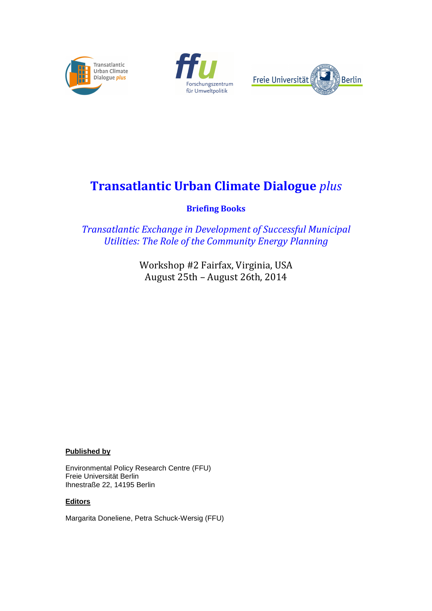





# **Transatlantic Urban Climate Dialogue** *plus*

**Briefing Books** 

*Transatlantic Exchange in Development of Successful Municipal Utilities: The Role of the Community Energy Planning*

> Workshop #2 Fairfax, Virginia, USA August 25th – August 26th, 2014

**Published by**

Environmental Policy Research Centre (FFU) Freie Universität Berlin Ihnestraße 22, 14195 Berlin

# **Editors**

Margarita Doneliene, Petra Schuck-Wersig (FFU)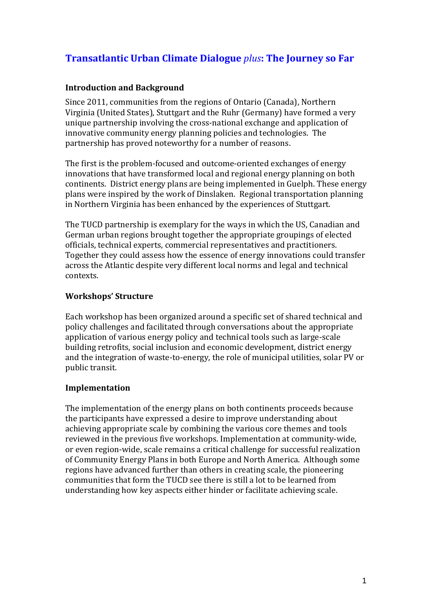# **Transatlantic Urban Climate Dialogue** *plus***: The Journey so Far**

# **Introduction and Background**

Since 2011, communities from the regions of Ontario (Canada), Northern Virginia (United States), Stuttgart and the Ruhr (Germany) have formed a very unique partnership involving the cross-national exchange and application of innovative community energy planning policies and technologies. The partnership has proved noteworthy for a number of reasons.

The first is the problem-focused and outcome-oriented exchanges of energy innovations that have transformed local and regional energy planning on both continents. District energy plans are being implemented in Guelph. These energy plans were inspired by the work of Dinslaken. Regional transportation planning in Northern Virginia has been enhanced by the experiences of Stuttgart.

The TUCD partnership is exemplary for the ways in which the US, Canadian and German urban regions brought together the appropriate groupings of elected officials, technical experts, commercial representatives and practitioners. Together they could assess how the essence of energy innovations could transfer across the Atlantic despite very different local norms and legal and technical contexts.

# **Workshops' Structure**

Each workshop has been organized around a specific set of shared technical and policy challenges and facilitated through conversations about the appropriate application of various energy policy and technical tools such as large-scale building retrofits, social inclusion and economic development, district energy and the integration of waste-to-energy, the role of municipal utilities, solar PV or public transit.

# **Implementation**

The implementation of the energy plans on both continents proceeds because the participants have expressed a desire to improve understanding about achieving appropriate scale by combining the various core themes and tools reviewed in the previous five workshops. Implementation at community-wide, or even region-wide, scale remains a critical challenge for successful realization of Community Energy Plans in both Europe and North America. Although some regions have advanced further than others in creating scale, the pioneering communities that form the TUCD see there is still a lot to be learned from understanding how key aspects either hinder or facilitate achieving scale.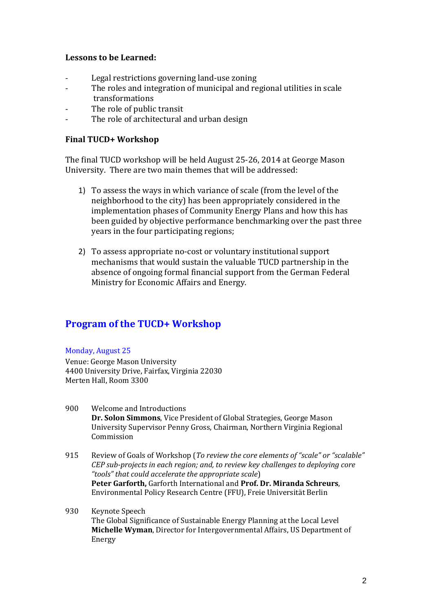### **Lessons to be Learned:**

- Legal restrictions governing land-use zoning
- The roles and integration of municipal and regional utilities in scale transformations
- The role of public transit
- The role of architectural and urban design

### **Final TUCD+ Workshop**

The final TUCD workshop will be held August 25-26, 2014 at George Mason University. There are two main themes that will be addressed:

- 1) To assess the ways in which variance of scale (from the level of the neighborhood to the city) has been appropriately considered in the implementation phases of Community Energy Plans and how this has been guided by objective performance benchmarking over the past three years in the four participating regions;
- 2) To assess appropriate no-cost or voluntary institutional support mechanisms that would sustain the valuable TUCD partnership in the absence of ongoing formal financial support from the German Federal Ministry for Economic Affairs and Energy.

# **Program of the TUCD+ Workshop**

#### Monday, August 25

Venue: George Mason University 4400 University Drive, Fairfax, Virginia 22030 Merten Hall, Room 3300

- 900 Welcome and Introductions **Dr. Solon Simmons**, Vice President of Global Strategies, George Mason University Supervisor Penny Gross, Chairman, Northern Virginia Regional Commission
- 915 Review of Goals of Workshop (*To review the core elements of "scale" or "scalable" CEP sub-projects in each region; and, to review key challenges to deploying core "tools" that could accelerate the appropriate scale*) **Peter Garforth,** Garforth International and **Prof. Dr. Miranda Schreurs**, Environmental Policy Research Centre (FFU), Freie Universität Berlin
- 930 Keynote Speech The Global Significance of Sustainable Energy Planning at the Local Level **Michelle Wyman**, Director for Intergovernmental Affairs, US Department of Energy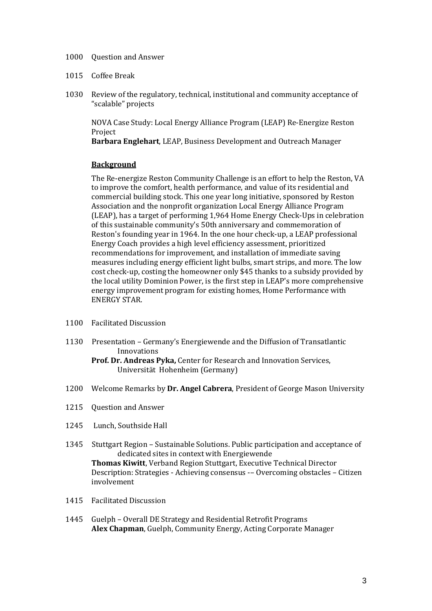- 1000 Question and Answer
- 1015 Coffee Break
- 1030 Review of the regulatory, technical, institutional and community acceptance of "scalable" projects

NOVA Case Study: Local Energy Alliance Program (LEAP) Re-Energize Reston Project

**Barbara Englehart**, LEAP, Business Development and Outreach Manager

#### **Background**

The Re-energize Reston Community Challenge is an effort to help the Reston, VA to improve the comfort, health performance, and value of its residential and commercial building stock. This one year long initiative, sponsored by Reston Association and the nonprofit organization Local Energy Alliance Program (LEAP), has a target of performing 1,964 Home Energy Check-Ups in celebration of this sustainable community's 50th anniversary and commemoration of Reston's founding year in 1964. In the one hour check-up, a LEAP professional Energy Coach provides a high level efficiency assessment, prioritized recommendations for improvement, and installation of immediate saving measures including energy efficient light bulbs, smart strips, and more. The low cost check-up, costing the homeowner only \$45 thanks to a subsidy provided by the local utility Dominion Power, is the first step in LEAP's more comprehensive energy improvement program for existing homes, Home Performance with ENERGY STAR.

- 1100 Facilitated Discussion
- 1130 Presentation Germany's Energiewende and the Diffusion of Transatlantic Innovations **Prof. Dr. Andreas Pyka,** Center for Research and Innovation Services,

Universität Hohenheim (Germany)

- 1200 Welcome Remarks by **Dr. Angel Cabrera**, President of George Mason University
- 1215 Question and Answer
- 1245 Lunch, Southside Hall
- 1345 Stuttgart Region Sustainable Solutions. Public participation and acceptance of dedicated sites in context with Energiewende **Thomas Kiwitt**, Verband Region Stuttgart, Executive Technical Director Description: Strategies - Achieving consensus -– Overcoming obstacles – Citizen involvement
- 1415 Facilitated Discussion
- 1445 Guelph Overall DE Strategy and Residential Retrofit Programs **Alex Chapman**, Guelph, Community Energy, Acting Corporate Manager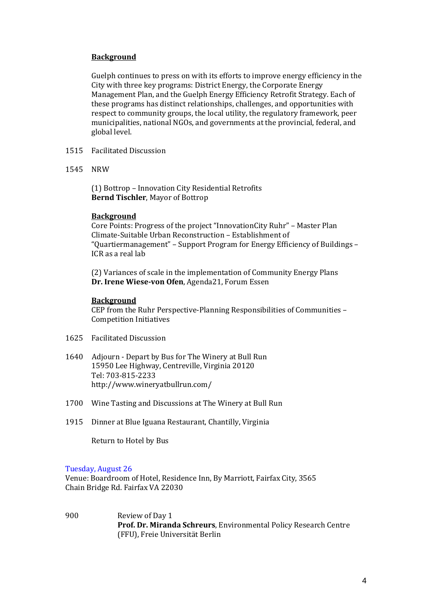#### **Background**

Guelph continues to press on with its efforts to improve energy efficiency in the City with three key programs: District Energy, the Corporate Energy Management Plan, and the Guelph Energy Efficiency Retrofit Strategy. Each of these programs has distinct relationships, challenges, and opportunities with respect to community groups, the local utility, the regulatory framework, peer municipalities, national NGOs, and governments at the provincial, federal, and global level.

- 1515 Facilitated Discussion
- 1545 NRW

(1) Bottrop – Innovation City Residential Retrofits **Bernd Tischler**, Mayor of Bottrop

#### **Background**

Core Points: Progress of the project "InnovationCity Ruhr" – Master Plan Climate-Suitable Urban Reconstruction – Establishment of "Quartiermanagement" – Support Program for Energy Efficiency of Buildings – ICR as a real lab

 (2) Variances of scale in the implementation of Community Energy Plans **Dr. Irene Wiese-von Ofen**, Agenda21, Forum Essen

#### **Background**

CEP from the Ruhr Perspective-Planning Responsibilities of Communities – Competition Initiatives

- 1625 Facilitated Discussion
- 1640 Adjourn Depart by Bus for The Winery at Bull Run 15950 Lee Highway, Centreville, Virginia 20120 Tel: 703-815-2233 http://www.wineryatbullrun.com/
- 1700 Wine Tasting and Discussions at The Winery at Bull Run
- 1915 Dinner at Blue Iguana Restaurant, Chantilly, Virginia

Return to Hotel by Bus

#### Tuesday, August 26

Venue: Boardroom of Hotel, Residence Inn, By Marriott, Fairfax City, 3565 Chain Bridge Rd. Fairfax VA 22030

900 Review of Day 1 **Prof. Dr. Miranda Schreurs**, Environmental Policy Research Centre (FFU), Freie Universität Berlin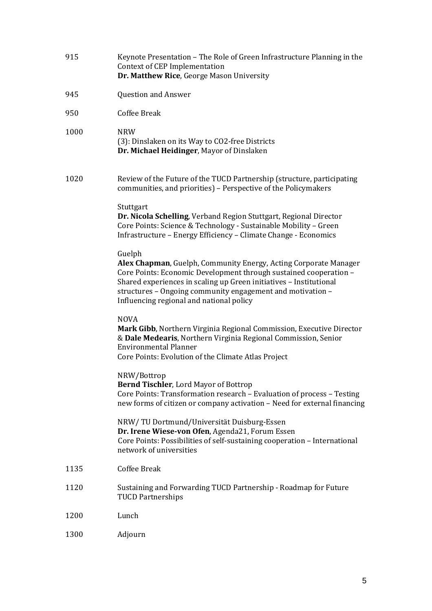| 915  | Keynote Presentation - The Role of Green Infrastructure Planning in the<br>Context of CEP Implementation<br>Dr. Matthew Rice, George Mason University                                                                                                                                                                           |
|------|---------------------------------------------------------------------------------------------------------------------------------------------------------------------------------------------------------------------------------------------------------------------------------------------------------------------------------|
| 945  | <b>Question and Answer</b>                                                                                                                                                                                                                                                                                                      |
| 950  | <b>Coffee Break</b>                                                                                                                                                                                                                                                                                                             |
| 1000 | <b>NRW</b><br>(3): Dinslaken on its Way to CO2-free Districts<br>Dr. Michael Heidinger, Mayor of Dinslaken                                                                                                                                                                                                                      |
| 1020 | Review of the Future of the TUCD Partnership (structure, participating<br>communities, and priorities) - Perspective of the Policymakers                                                                                                                                                                                        |
|      | Stuttgart<br>Dr. Nicola Schelling, Verband Region Stuttgart, Regional Director<br>Core Points: Science & Technology - Sustainable Mobility - Green<br>Infrastructure - Energy Efficiency - Climate Change - Economics                                                                                                           |
|      | Guelph<br>Alex Chapman, Guelph, Community Energy, Acting Corporate Manager<br>Core Points: Economic Development through sustained cooperation -<br>Shared experiences in scaling up Green initiatives - Institutional<br>structures - Ongoing community engagement and motivation -<br>Influencing regional and national policy |
|      | <b>NOVA</b><br>Mark Gibb, Northern Virginia Regional Commission, Executive Director<br>& Dale Medearis, Northern Virginia Regional Commission, Senior<br><b>Environmental Planner</b><br>Core Points: Evolution of the Climate Atlas Project                                                                                    |
|      | NRW/Bottrop<br><b>Bernd Tischler, Lord Mayor of Bottrop</b><br>Core Points: Transformation research - Evaluation of process - Testing<br>new forms of citizen or company activation - Need for external financing                                                                                                               |
|      | NRW/TU Dortmund/Universität Duisburg-Essen<br>Dr. Irene Wiese-von Ofen, Agenda21, Forum Essen<br>Core Points: Possibilities of self-sustaining cooperation - International<br>network of universities                                                                                                                           |
| 1135 | <b>Coffee Break</b>                                                                                                                                                                                                                                                                                                             |
| 1120 | Sustaining and Forwarding TUCD Partnership - Roadmap for Future<br><b>TUCD Partnerships</b>                                                                                                                                                                                                                                     |
| 1200 | Lunch                                                                                                                                                                                                                                                                                                                           |
| 1300 | Adjourn                                                                                                                                                                                                                                                                                                                         |
|      |                                                                                                                                                                                                                                                                                                                                 |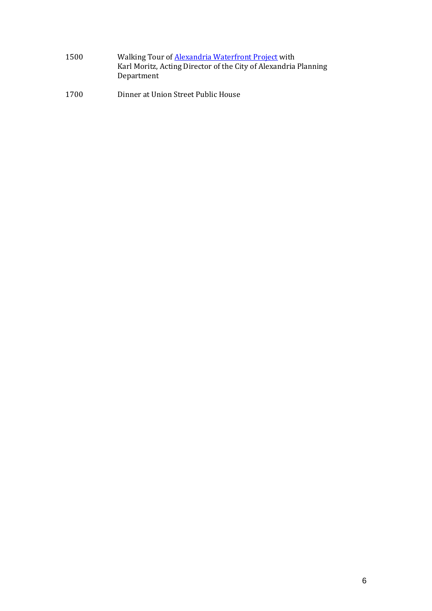- 1500 Walking Tour of **Alexandria Waterfront Project** with Karl Moritz, Acting Director of the City of Alexandria Planning Department
- 1700 Dinner at Union Street Public House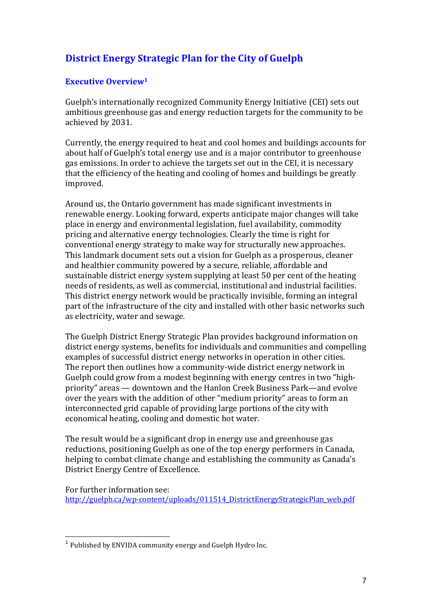# **District Energy Strategic Plan for the City of Guelph**

# **Executive Overview<sup>1</sup>**

Guelph's internationally recognized Community Energy Initiative (CEI) sets out ambitious greenhouse gas and energy reduction targets for the community to be achieved by 2031.

Currently, the energy required to heat and cool homes and buildings accounts for about half of Guelph's total energy use and is a major contributor to greenhouse gas emissions. In order to achieve the targets set out in the CEI, it is necessary that the efficiency of the heating and cooling of homes and buildings be greatly improved.

Around us, the Ontario government has made significant investments in renewable energy. Looking forward, experts anticipate major changes will take place in energy and environmental legislation, fuel availability, commodity pricing and alternative energy technologies. Clearly the time is right for conventional energy strategy to make way for structurally new approaches. This landmark document sets out a vision for Guelph as a prosperous, cleaner and healthier community powered by a secure, reliable, affordable and sustainable district energy system supplying at least 50 per cent of the heating needs of residents, as well as commercial, institutional and industrial facilities. This district energy network would be practically invisible, forming an integral part of the infrastructure of the city and installed with other basic networks such as electricity, water and sewage.

The Guelph District Energy Strategic Plan provides background information on district energy systems, benefits for individuals and communities and compelling examples of successful district energy networks in operation in other cities. The report then outlines how a community-wide district energy network in Guelph could grow from a modest beginning with energy centres in two "highpriority" areas — downtown and the Hanlon Creek Business Park—and evolve over the years with the addition of other "medium priority" areas to form an interconnected grid capable of providing large portions of the city with economical heating, cooling and domestic hot water.

The result would be a significant drop in energy use and greenhouse gas reductions, positioning Guelph as one of the top energy performers in Canada, helping to combat climate change and establishing the community as Canada's District Energy Centre of Excellence.

For further information see: http://guelph.ca/wp-content/uploads/011514\_DistrictEnergyStrategicPlan\_web.pdf

 $\overline{a}$ 

<sup>&</sup>lt;sup>1</sup> Published by ENVIDA community energy and Guelph Hydro Inc.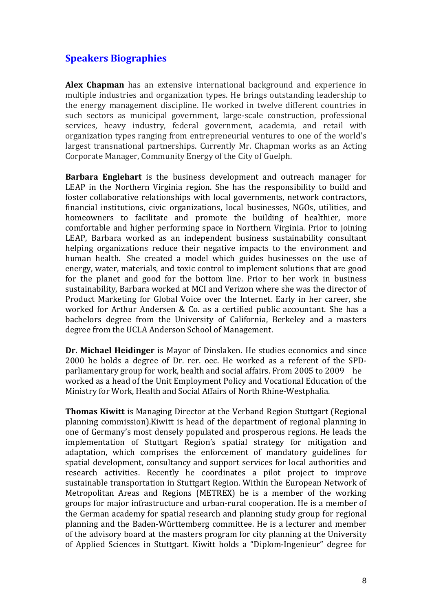# **Speakers Biographies**

**Alex Chapman** has an extensive international background and experience in multiple industries and organization types. He brings outstanding leadership to the energy management discipline. He worked in twelve different countries in such sectors as municipal government, large-scale construction, professional services, heavy industry, federal government, academia, and retail with organization types ranging from entrepreneurial ventures to one of the world's largest transnational partnerships. Currently Mr. Chapman works as an Acting Corporate Manager, Community Energy of the City of Guelph.

**Barbara Englehart** is the business development and outreach manager for LEAP in the Northern Virginia region. She has the responsibility to build and foster collaborative relationships with local governments, network contractors, financial institutions, civic organizations, local businesses, NGOs, utilities, and homeowners to facilitate and promote the building of healthier, more comfortable and higher performing space in Northern Virginia. Prior to joining LEAP, Barbara worked as an independent business sustainability consultant helping organizations reduce their negative impacts to the environment and human health. She created a model which guides businesses on the use of energy, water, materials, and toxic control to implement solutions that are good for the planet and good for the bottom line. Prior to her work in business sustainability, Barbara worked at MCI and Verizon where she was the director of Product Marketing for Global Voice over the Internet. Early in her career, she worked for Arthur Andersen & Co. as a certified public accountant. She has a bachelors degree from the University of California, Berkeley and a masters degree from the UCLA Anderson School of Management.

**Dr. Michael Heidinger** is Mayor of Dinslaken. He studies economics and since 2000 he holds a degree of Dr. rer. oec. He worked as a referent of the SPDparliamentary group for work, health and social affairs. From 2005 to 2009 he worked as a head of the Unit Employment Policy and Vocational Education of the Ministry for Work, Health and Social Affairs of North Rhine-Westphalia.

**Thomas Kiwitt** is Managing Director at the Verband Region Stuttgart (Regional planning commission).Kiwitt is head of the department of regional planning in one of Germany's most densely populated and prosperous regions. He leads the implementation of Stuttgart Region's spatial strategy for mitigation and adaptation, which comprises the enforcement of mandatory guidelines for spatial development, consultancy and support services for local authorities and research activities. Recently he coordinates a pilot project to improve sustainable transportation in Stuttgart Region. Within the European Network of Metropolitan Areas and Regions (METREX) he is a member of the working groups for major infrastructure and urban-rural cooperation. He is a member of the German academy for spatial research and planning study group for regional planning and the Baden-Württemberg committee. He is a lecturer and member of the advisory board at the masters program for city planning at the University of Applied Sciences in Stuttgart. Kiwitt holds a "Diplom-Ingenieur" degree for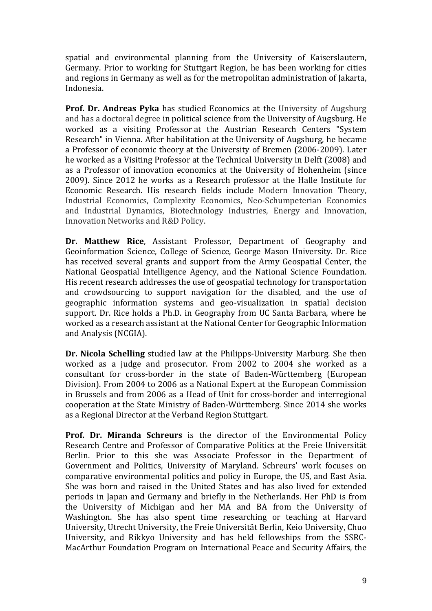spatial and environmental planning from the University of Kaiserslautern, Germany. Prior to working for Stuttgart Region, he has been working for cities and regions in Germany as well as for the metropolitan administration of Jakarta, Indonesia.

**Prof. Dr. Andreas Pyka** has studied Economics at the University of Augsburg and has a doctoral degree in political science from the University of Augsburg. He worked as a visiting Professor at the Austrian Research Centers "System Research" in Vienna. After habilitation at the University of Augsburg, he became a Professor of economic theory at the University of Bremen (2006-2009). Later he worked as a Visiting Professor at the Technical University in Delft (2008) and as a Professor of innovation economics at the University of Hohenheim (since 2009). Since 2012 he works as a Research professor at the Halle Institute for Economic Research. His research fields include Modern Innovation Theory, Industrial Economics, Complexity Economics, Neo-Schumpeterian Economics and Industrial Dynamics, Biotechnology Industries, Energy and Innovation, Innovation Networks and R&D Policy.

**Dr. Matthew Rice**, Assistant Professor, Department of Geography and Geoinformation Science, College of Science, George Mason University. Dr. Rice has received several grants and support from the Army Geospatial Center, the National Geospatial Intelligence Agency, and the National Science Foundation. His recent research addresses the use of geospatial technology for transportation and crowdsourcing to support navigation for the disabled, and the use of geographic information systems and geo-visualization in spatial decision support. Dr. Rice holds a Ph.D. in Geography from UC Santa Barbara, where he worked as a research assistant at the National Center for Geographic Information and Analysis (NCGIA).

**Dr. Nicola Schelling** studied law at the Philipps-University Marburg. She then worked as a judge and prosecutor. From 2002 to 2004 she worked as a consultant for cross-border in the state of Baden-Württemberg (European Division). From 2004 to 2006 as a National Expert at the European Commission in Brussels and from 2006 as a Head of Unit for cross-border and interregional cooperation at the State Ministry of Baden-Württemberg. Since 2014 she works as a Regional Director at the Verband Region Stuttgart.

**Prof. Dr. Miranda Schreurs** is the director of the Environmental Policy Research Centre and Professor of Comparative Politics at the Freie Universität Berlin. Prior to this she was Associate Professor in the Department of Government and Politics, University of Maryland. Schreurs' work focuses on comparative environmental politics and policy in Europe, the US, and East Asia. She was born and raised in the United States and has also lived for extended periods in Japan and Germany and briefly in the Netherlands. Her PhD is from the University of Michigan and her MA and BA from the University of Washington. She has also spent time researching or teaching at Harvard University, Utrecht University, the Freie Universität Berlin, Keio University, Chuo University, and Rikkyo University and has held fellowships from the SSRC-MacArthur Foundation Program on International Peace and Security Affairs, the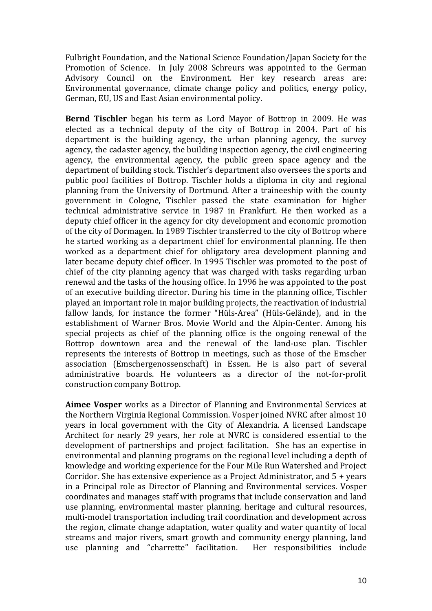Fulbright Foundation, and the National Science Foundation/Japan Society for the Promotion of Science. In July 2008 Schreurs was appointed to the German Advisory Council on the Environment. Her key research areas are: Environmental governance, climate change policy and politics, energy policy, German, EU, US and East Asian environmental policy.

**Bernd Tischler** began his term as Lord Mayor of Bottrop in 2009. He was elected as a technical deputy of the city of Bottrop in 2004. Part of his department is the building agency, the urban planning agency, the survey agency, the cadaster agency, the building inspection agency, the civil engineering agency, the environmental agency, the public green space agency and the department of building stock. Tischler's department also oversees the sports and public pool facilities of Bottrop. Tischler holds a diploma in city and regional planning from the University of Dortmund. After a traineeship with the county government in Cologne, Tischler passed the state examination for higher technical administrative service in 1987 in Frankfurt. He then worked as a deputy chief officer in the agency for city development and economic promotion of the city of Dormagen. In 1989 Tischler transferred to the city of Bottrop where he started working as a department chief for environmental planning. He then worked as a department chief for obligatory area development planning and later became deputy chief officer. In 1995 Tischler was promoted to the post of chief of the city planning agency that was charged with tasks regarding urban renewal and the tasks of the housing office. In 1996 he was appointed to the post of an executive building director. During his time in the planning office, Tischler played an important role in major building projects, the reactivation of industrial fallow lands, for instance the former "Hüls-Area" (Hüls-Gelände), and in the establishment of Warner Bros. Movie World and the Alpin-Center. Among his special projects as chief of the planning office is the ongoing renewal of the Bottrop downtown area and the renewal of the land-use plan. Tischler represents the interests of Bottrop in meetings, such as those of the Emscher association (Emschergenossenschaft) in Essen. He is also part of several administrative boards. He volunteers as a director of the not-for-profit construction company Bottrop.

**Aimee Vosper** works as a Director of Planning and Environmental Services at the Northern Virginia Regional Commission. Vosper joined NVRC after almost 10 years in local government with the City of Alexandria. A licensed Landscape Architect for nearly 29 years, her role at NVRC is considered essential to the development of partnerships and project facilitation. She has an expertise in environmental and planning programs on the regional level including a depth of knowledge and working experience for the Four Mile Run Watershed and Project Corridor. She has extensive experience as a Project Administrator, and 5 + years in a Principal role as Director of Planning and Environmental services. Vosper coordinates and manages staff with programs that include conservation and land use planning, environmental master planning, heritage and cultural resources, multi-model transportation including trail coordination and development across the region, climate change adaptation, water quality and water quantity of local streams and major rivers, smart growth and community energy planning, land use planning and "charrette" facilitation. Her responsibilities include